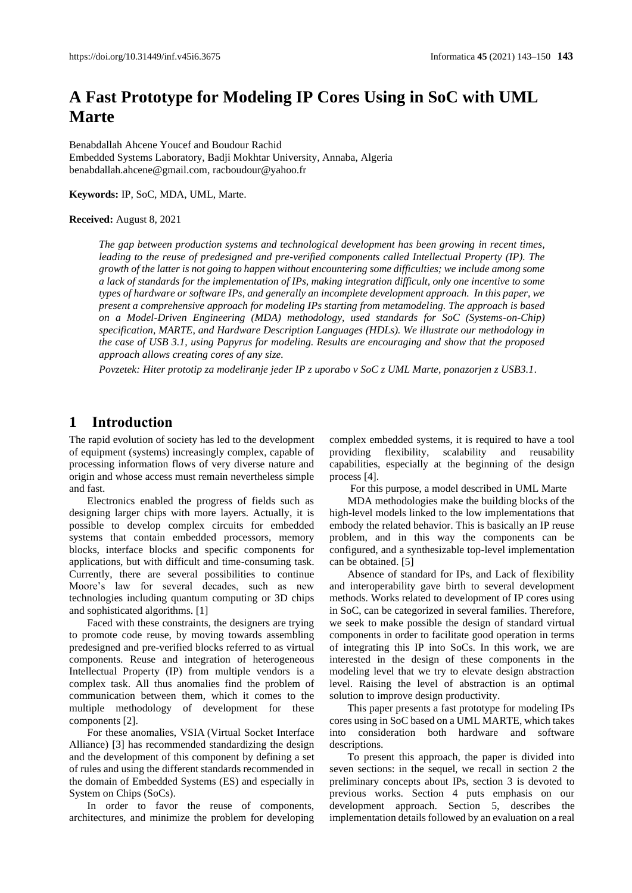# **A Fast Prototype for Modeling IP Cores Using in SoC with UML Marte**

Benabdallah Ahcene Youcef and Boudour Rachid Embedded Systems Laboratory, Badji Mokhtar University, Annaba, Algeria benabdallah.ahcene@gmail.com, racboudour@yahoo.fr

**Keywords:** IP, SoC, MDA, UML, Marte.

#### **Received:** August 8, 2021

*The gap between production systems and technological development has been growing in recent times, leading to the reuse of predesigned and pre-verified components called Intellectual Property (IP). The growth of the latter is not going to happen without encountering some difficulties; we include among some a lack of standards for the implementation of IPs, making integration difficult, only one incentive to some types of hardware or software IPs, and generally an incomplete development approach. In this paper, we present a comprehensive approach for modeling IPs starting from metamodeling. The approach is based on a Model-Driven Engineering (MDA) methodology, used standards for SoC (Systems-on-Chip) specification, MARTE, and Hardware Description Languages (HDLs). We illustrate our methodology in the case of USB 3.1, using Papyrus for modeling. Results are encouraging and show that the proposed approach allows creating cores of any size.*

*Povzetek: Hiter prototip za modeliranje jeder IP z uporabo v SoC z UML Marte, ponazorjen z USB3.1.*

## **1 Introduction**

The rapid evolution of society has led to the development of equipment (systems) increasingly complex, capable of processing information flows of very diverse nature and origin and whose access must remain nevertheless simple and fast.

Electronics enabled the progress of fields such as designing larger chips with more layers. Actually, it is possible to develop complex circuits for embedded systems that contain embedded processors, memory blocks, interface blocks and specific components for applications, but with difficult and time-consuming task. Currently, there are several possibilities to continue Moore's law for several decades, such as new technologies including quantum computing or 3D chips and sophisticated algorithms. [1]

Faced with these constraints, the designers are trying to promote code reuse, by moving towards assembling predesigned and pre-verified blocks referred to as virtual components. Reuse and integration of heterogeneous Intellectual Property (IP) from multiple vendors is a complex task. All thus anomalies find the problem of communication between them, which it comes to the multiple methodology of development for these components [2].

For these anomalies, VSIA (Virtual Socket Interface Alliance) [3] has recommended standardizing the design and the development of this component by defining a set of rules and using the different standards recommended in the domain of Embedded Systems (ES) and especially in System on Chips (SoCs).

In order to favor the reuse of components, architectures, and minimize the problem for developing complex embedded systems, it is required to have a tool providing flexibility, scalability and reusability capabilities, especially at the beginning of the design process [4].

For this purpose, a model described in UML Marte

MDA methodologies make the building blocks of the high-level models linked to the low implementations that embody the related behavior. This is basically an IP reuse problem, and in this way the components can be configured, and a synthesizable top-level implementation can be obtained. [5]

Absence of standard for IPs, and Lack of flexibility and interoperability gave birth to several development methods. Works related to development of IP cores using in SoC, can be categorized in several families. Therefore, we seek to make possible the design of standard virtual components in order to facilitate good operation in terms of integrating this IP into SoCs. In this work, we are interested in the design of these components in the modeling level that we try to elevate design abstraction level. Raising the level of abstraction is an optimal solution to improve design productivity.

This paper presents a fast prototype for modeling IPs cores using in SoC based on a UML MARTE, which takes into consideration both hardware and software descriptions.

To present this approach, the paper is divided into seven sections: in the sequel, we recall in section 2 the preliminary concepts about IPs, section 3 is devoted to previous works. Section 4 puts emphasis on our development approach. Section 5, describes the implementation details followed by an evaluation on a real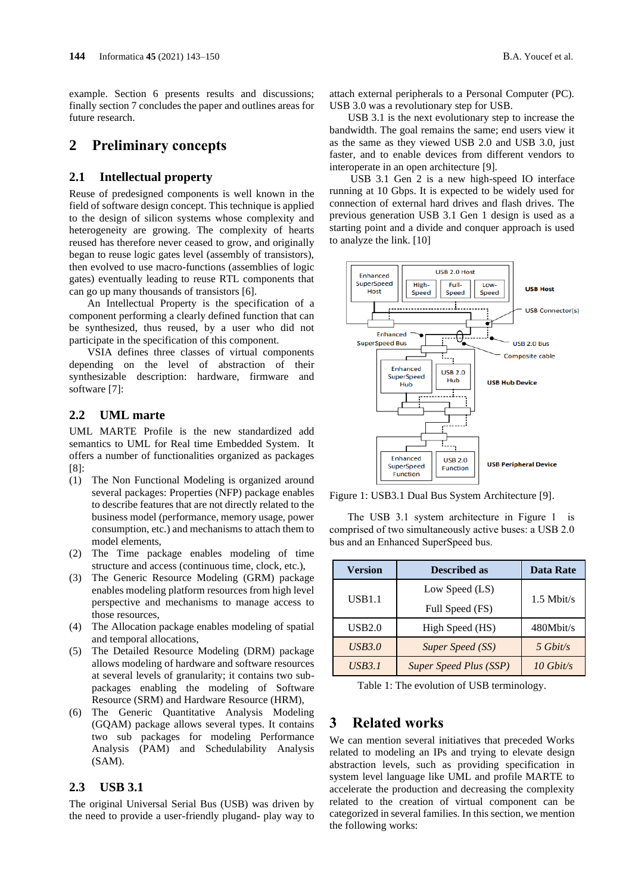example. Section 6 presents results and discussions; finally section 7 concludes the paper and outlines areas for future research.

### **2 Preliminary concepts**

#### **2.1 Intellectual property**

Reuse of predesigned components is well known in the field of software design concept. This technique is applied to the design of silicon systems whose complexity and heterogeneity are growing. The complexity of hearts reused has therefore never ceased to grow, and originally began to reuse logic gates level (assembly of transistors), then evolved to use macro-functions (assemblies of logic gates) eventually leading to reuse RTL components that can go up many thousands of transistors [6].

An Intellectual Property is the specification of a component performing a clearly defined function that can be synthesized, thus reused, by a user who did not participate in the specification of this component.

VSIA defines three classes of virtual components depending on the level of abstraction of their synthesizable description: hardware, firmware and software [7]:

#### **2.2 UML marte**

UML MARTE Profile is the new standardized add semantics to UML for Real time Embedded System. It offers a number of functionalities organized as packages [8]:

- (1) The Non Functional Modeling is organized around several packages: Properties (NFP) package enables to describe features that are not directly related to the business model (performance, memory usage, power consumption, etc.) and mechanisms to attach them to model elements,
- (2) The Time package enables modeling of time structure and access (continuous time, clock, etc.),
- (3) The Generic Resource Modeling (GRM) package enables modeling platform resources from high level perspective and mechanisms to manage access to those resources,
- (4) The Allocation package enables modeling of spatial and temporal allocations,
- (5) The Detailed Resource Modeling (DRM) package allows modeling of hardware and software resources at several levels of granularity; it contains two subpackages enabling the modeling of Software Resource (SRM) and Hardware Resource (HRM),
- (6) The Generic Quantitative Analysis Modeling (GQAM) package allows several types. It contains two sub packages for modeling Performance Analysis (PAM) and Schedulability Analysis (SAM).

#### **2.3 USB 3.1**

The original Universal Serial Bus (USB) was driven by the need to provide a user-friendly plugand- play way to attach external peripherals to a Personal Computer (PC). USB 3.0 was a revolutionary step for USB.

USB 3.1 is the next evolutionary step to increase the bandwidth. The goal remains the same; end users view it as the same as they viewed USB 2.0 and USB 3.0, just faster, and to enable devices from different vendors to interoperate in an open architecture [9].

USB 3.1 Gen 2 is a new high-speed IO interface running at 10 Gbps. It is expected to be widely used for connection of external hard drives and flash drives. The previous generation USB 3.1 Gen 1 design is used as a starting point and a divide and conquer approach is used to analyze the link. [10]



Figure 1: USB3.1 Dual Bus System Architecture [9].

The USB 3.1 system architecture in Figure 1 is comprised of two simultaneously active buses: a USB 2.0 bus and an Enhanced SuperSpeed bus.

| <b>Version</b> | <b>Described as</b>           | <b>Data Rate</b>   |
|----------------|-------------------------------|--------------------|
| <b>USB1.1</b>  | Low Speed (LS)                | $1.5$ Mbit/s       |
|                | Full Speed (FS)               |                    |
| USB2.0         | High Speed (HS)               | 480Mbit/s          |
| <i>USB3.0</i>  | Super Speed (SS)              | $5 \text{ Gbit/s}$ |
| <b>USB3.1</b>  | <b>Super Speed Plus (SSP)</b> | $10$ Gbit/s        |

Table 1: The evolution of USB terminology.

# **3 Related works**

We can mention several initiatives that preceded Works related to modeling an IPs and trying to elevate design abstraction levels, such as providing specification in system level language like UML and profile MARTE to accelerate the production and decreasing the complexity related to the creation of virtual component can be categorized in several families. In this section, we mention the following works: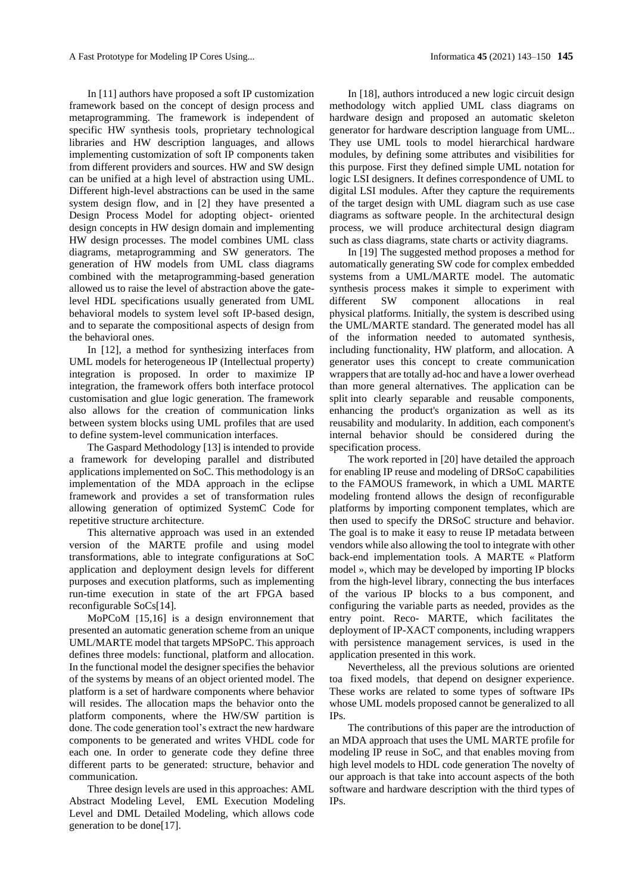In [11] authors have proposed a soft IP customization framework based on the concept of design process and metaprogramming. The framework is independent of specific HW synthesis tools, proprietary technological libraries and HW description languages, and allows implementing customization of soft IP components taken from different providers and sources. HW and SW design can be unified at a high level of abstraction using UML. Different high-level abstractions can be used in the same system design flow, and in [2] they have presented a Design Process Model for adopting object- oriented design concepts in HW design domain and implementing HW design processes. The model combines UML class diagrams, metaprogramming and SW generators. The generation of HW models from UML class diagrams combined with the metaprogramming-based generation allowed us to raise the level of abstraction above the gatelevel HDL specifications usually generated from UML behavioral models to system level soft IP-based design, and to separate the compositional aspects of design from the behavioral ones.

In [12], a method for synthesizing interfaces from UML models for heterogeneous IP (Intellectual property) integration is proposed. In order to maximize IP integration, the framework offers both interface protocol customisation and glue logic generation. The framework also allows for the creation of communication links between system blocks using UML profiles that are used to define system-level communication interfaces.

The Gaspard Methodology [13] is intended to provide a framework for developing parallel and distributed applications implemented on SoC. This methodology is an implementation of the MDA approach in the eclipse framework and provides a set of transformation rules allowing generation of optimized SystemC Code for repetitive structure architecture.

This alternative approach was used in an extended version of the MARTE profile and using model transformations, able to integrate configurations at SoC application and deployment design levels for different purposes and execution platforms, such as implementing run-time execution in state of the art FPGA based reconfigurable SoCs[14].

MoPCoM [15,16] is a design environnement that presented an automatic generation scheme from an unique UML/MARTE model that targets MPSoPC. This approach defines three models: functional, platform and allocation. In the functional model the designer specifies the behavior of the systems by means of an object oriented model. The platform is a set of hardware components where behavior will resides. The allocation maps the behavior onto the platform components, where the HW/SW partition is done. The code generation tool's extract the new hardware components to be generated and writes VHDL code for each one. In order to generate code they define three different parts to be generated: structure, behavior and communication.

Three design levels are used in this approaches: AML Abstract Modeling Level, EML Execution Modeling Level and DML Detailed Modeling, which allows code generation to be done[17].

In [18], authors introduced a new logic circuit design methodology witch applied UML class diagrams on hardware design and proposed an automatic skeleton generator for hardware description language from UML.. They use UML tools to model hierarchical hardware modules, by defining some attributes and visibilities for this purpose. First they defined simple UML notation for logic LSI designers. It defines correspondence of UML to digital LSI modules. After they capture the requirements of the target design with UML diagram such as use case diagrams as software people. In the architectural design process, we will produce architectural design diagram such as class diagrams, state charts or activity diagrams.

In [19] The suggested method proposes a method for automatically generating SW code for complex embedded systems from a UML/MARTE model. The automatic synthesis process makes it simple to experiment with different SW component allocations in real physical platforms. Initially, the system is described using the UML/MARTE standard. The generated model has all of the information needed to automated synthesis, including functionality, HW platform, and allocation. A generator uses this concept to create communication wrappers that are totally ad-hoc and have a lower overhead than more general alternatives. The application can be split into clearly separable and reusable components, enhancing the product's organization as well as its reusability and modularity. In addition, each component's internal behavior should be considered during the specification process.

The work reported in [20] have detailed the approach for enabling IP reuse and modeling of DRSoC capabilities to the FAMOUS framework, in which a UML MARTE modeling frontend allows the design of reconfigurable platforms by importing component templates, which are then used to specify the DRSoC structure and behavior. The goal is to make it easy to reuse IP metadata between vendors while also allowing the tool to integrate with other back-end implementation tools. A MARTE « Platform model », which may be developed by importing IP blocks from the high-level library, connecting the bus interfaces of the various IP blocks to a bus component, and configuring the variable parts as needed, provides as the entry point. Reco- MARTE, which facilitates the deployment of IP-XACT components, including wrappers with persistence management services, is used in the application presented in this work.

Nevertheless, all the previous solutions are oriented toa fixed models, that depend on designer experience. These works are related to some types of software IPs whose UML models proposed cannot be generalized to all IPs.

The contributions of this paper are the introduction of an MDA approach that uses the UML MARTE profile for modeling IP reuse in SoC, and that enables moving from high level models to HDL code generation The novelty of our approach is that take into account aspects of the both software and hardware description with the third types of IPs.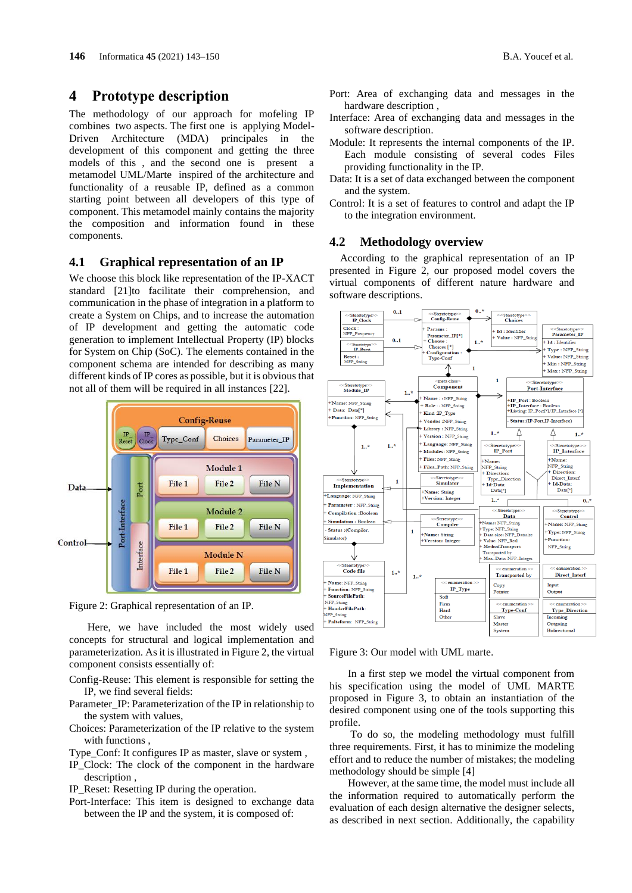#### **4 Prototype description**

The methodology of our approach for mofeling IP combines two aspects. The first one is applying Model-Driven Architecture (MDA) principales in the development of this component and getting the three models of this , and the second one is present a metamodel UML/Marte inspired of the architecture and functionality of a reusable IP, defined as a common starting point between all developers of this type of component. This metamodel mainly contains the majority the composition and information found in these components.

## **4.1 Graphical representation of an IP**

We choose this block like representation of the IP-XACT standard [21]to facilitate their comprehension, and communication in the phase of integration in a platform to create a System on Chips, and to increase the automation of IP development and getting the automatic code generation to implement Intellectual Property (IP) blocks for System on Chip (SoC). The elements contained in the component schema are intended for describing as many different kinds of IP cores as possible, but it is obvious that not all of them will be required in all instances [22].



Figure 2: Graphical representation of an IP.

Here, we have included the most widely used concepts for structural and logical implementation and parameterization. As it is illustrated in Figure 2, the virtual component consists essentially of:

- Config-Reuse: This element is responsible for setting the IP, we find several fields:
- Parameter\_IP: Parameterization of the IP in relationship to the system with values,
- Choices: Parameterization of the IP relative to the system with functions ,
- Type Conf: It configures IP as master, slave or system,
- IP\_Clock: The clock of the component in the hardware description ,
- IP\_Reset: Resetting IP during the operation.
- Port-Interface: This item is designed to exchange data between the IP and the system, it is composed of:
- Port: Area of exchanging data and messages in the hardware description ,
- Interface: Area of exchanging data and messages in the software description.
- Module: It represents the internal components of the IP. Each module consisting of several codes Files providing functionality in the IP.
- Data: It is a set of data exchanged between the component and the system.
- Control: It is a set of features to control and adapt the IP to the integration environment.

#### **4.2 Methodology overview**

According to the graphical representation of an IP presented in Figure 2, our proposed model covers the virtual components of different nature hardware and software descriptions.



Figure 3: Our model with UML marte.

In a first step we model the virtual component from his specification using the model of UML MARTE proposed in Figure 3, to obtain an instantiation of the desired component using one of the tools supporting this profile.

To do so, the modeling methodology must fulfill three requirements. First, it has to minimize the modeling effort and to reduce the number of mistakes; the modeling methodology should be simple [4]

However, at the same time, the model must include all the information required to automatically perform the evaluation of each design alternative the designer selects, as described in next section. Additionally, the capability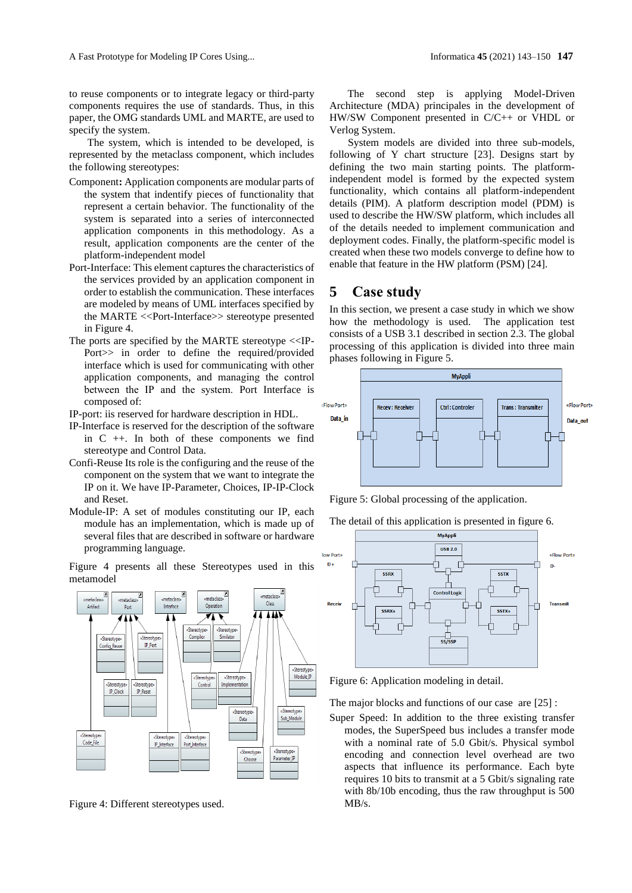to reuse components or to integrate legacy or third-party components requires the use of standards. Thus, in this paper, the OMG standards UML and MARTE, are used to specify the system.

The system, which is intended to be developed, is represented by the metaclass component, which includes the following stereotypes:

- Component**:** Application components are modular parts of the system that indentify pieces of functionality that represent a certain behavior. The functionality of the system is separated into a series of interconnected application components in this methodology. As a result, application components are the center of the platform-independent model
- Port-Interface: This element captures the characteristics of the services provided by an application component in order to establish the communication. These interfaces are modeled by means of UML interfaces specified by the MARTE <<Port-Interface>> stereotype presented in Figure 4.
- The ports are specified by the MARTE stereotype <<IP-Port>> in order to define the required/provided interface which is used for communicating with other application components, and managing the control between the IP and the system. Port Interface is composed of:

IP-port: iis reserved for hardware description in HDL.

- IP-Interface is reserved for the description of the software in C ++. In both of these components we find stereotype and Control Data.
- Confi-Reuse Its role is the configuring and the reuse of the component on the system that we want to integrate the IP on it. We have IP-Parameter, Choices, IP-IP-Clock and Reset.
- Module-IP: A set of modules constituting our IP, each module has an implementation, which is made up of several files that are described in software or hardware programming language.

Figure 4 presents all these Stereotypes used in this metamodel



Figure 4: Different stereotypes used.

The second step is applying Model-Driven Architecture (MDA) principales in the development of HW/SW Component presented in C/C++ or VHDL or Verlog System.

System models are divided into three sub-models, following of Y chart structure [23]. Designs start by defining the two main starting points. The platformindependent model is formed by the expected system functionality, which contains all platform-independent details (PIM). A platform description model (PDM) is used to describe the HW/SW platform, which includes all of the details needed to implement communication and deployment codes. Finally, the platform-specific model is created when these two models converge to define how to enable that feature in the HW platform (PSM) [24].

# **5 Case study**

In this section, we present a case study in which we show how the methodology is used. The application test consists of a USB 3.1 described in section 2.3. The global processing of this application is divided into three main phases following in Figure 5.





The detail of this application is presented in figure 6.



Figure 6: Application modeling in detail.

The major blocks and functions of our case are [25] :

Super Speed: In addition to the three existing transfer modes, the SuperSpeed bus includes a transfer mode with a nominal rate of 5.0 Gbit/s. Physical symbol encoding and connection level overhead are two aspects that influence its performance. Each byte requires 10 bits to transmit at a 5 Gbit/s signaling rate with 8b/10b encoding, thus the raw throughput is 500 MB/s.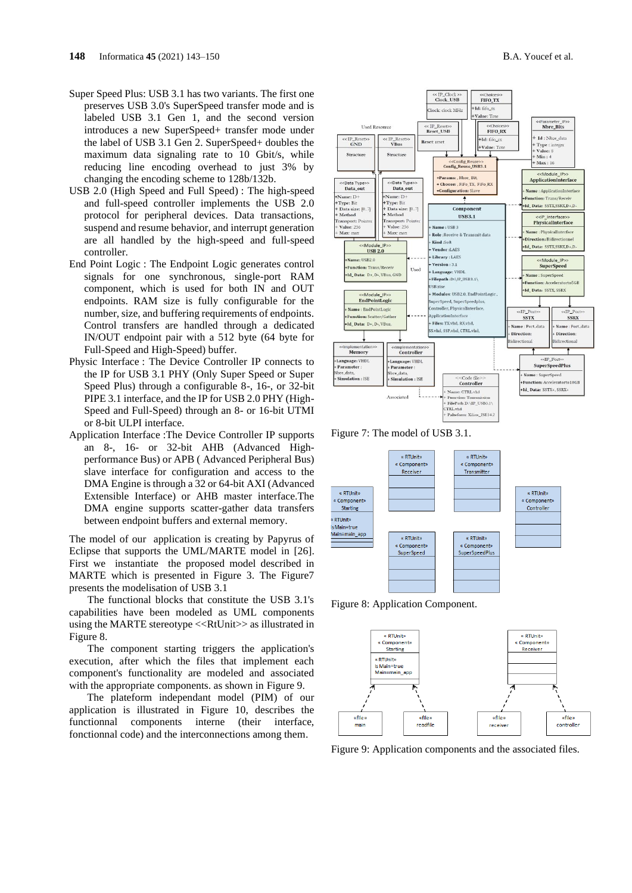- Super Speed Plus: USB 3.1 has two variants. The first one preserves USB 3.0's SuperSpeed transfer mode and is labeled USB 3.1 Gen 1, and the second version introduces a new SuperSpeed+ transfer mode under the label of USB 3.1 Gen 2. SuperSpeed+ doubles the maximum data signaling rate to 10 Gbit/s, while reducing line encoding overhead to just 3% by changing the encoding scheme to 128b/132b.
- USB 2.0 (High Speed and Full Speed) : The high-speed and full-speed controller implements the USB 2.0 protocol for peripheral devices. Data transactions, suspend and resume behavior, and interrupt generation are all handled by the high-speed and full-speed controller.
- End Point Logic : The Endpoint Logic generates control signals for one synchronous, single-port RAM component, which is used for both IN and OUT endpoints. RAM size is fully configurable for the number, size, and buffering requirements of endpoints. Control transfers are handled through a dedicated IN/OUT endpoint pair with a 512 byte (64 byte for Full-Speed and High-Speed) buffer.
- Physic Interface : The Device Controller IP connects to the IP for USB 3.1 PHY (Only Super Speed or Super Speed Plus) through a configurable 8-, 16-, or 32-bit PIPE 3.1 interface, and the IP for USB 2.0 PHY (High-Speed and Full-Speed) through an 8- or 16-bit UTMI or 8-bit ULPI interface.
- Application Interface :The Device Controller IP supports an 8-, 16- or 32-bit AHB (Advanced Highperformance Bus) or APB ( Advanced Peripheral Bus) slave interface for configuration and access to the DMA Engine is through a 32 or 64-bit AXI (Advanced Extensible Interface) or AHB master interface.The DMA engine supports scatter-gather data transfers between endpoint buffers and external memory.

The model of our application is creating by Papyrus of Eclipse that supports the UML/MARTE model in [26]. First we instantiate the proposed model described in MARTE which is presented in Figure 3. The Figure 7 presents the modelisation of USB 3.1

The functional blocks that constitute the USB 3.1's capabilities have been modeled as UML components using the MARTE stereotype <<RtUnit>> as illustrated in Figure 8.

The component starting triggers the application's execution, after which the files that implement each component's functionality are modeled and associated with the appropriate components. as shown in Figure 9.

The plateform independant model (PIM) of our application is illustrated in Figure 10, describes the functionnal components interne (their interface, fonctionnal code) and the interconnections among them.



Figure 7: The model of USB 3.1.



Figure 8: Application Component.



Figure 9: Application components and the associated files.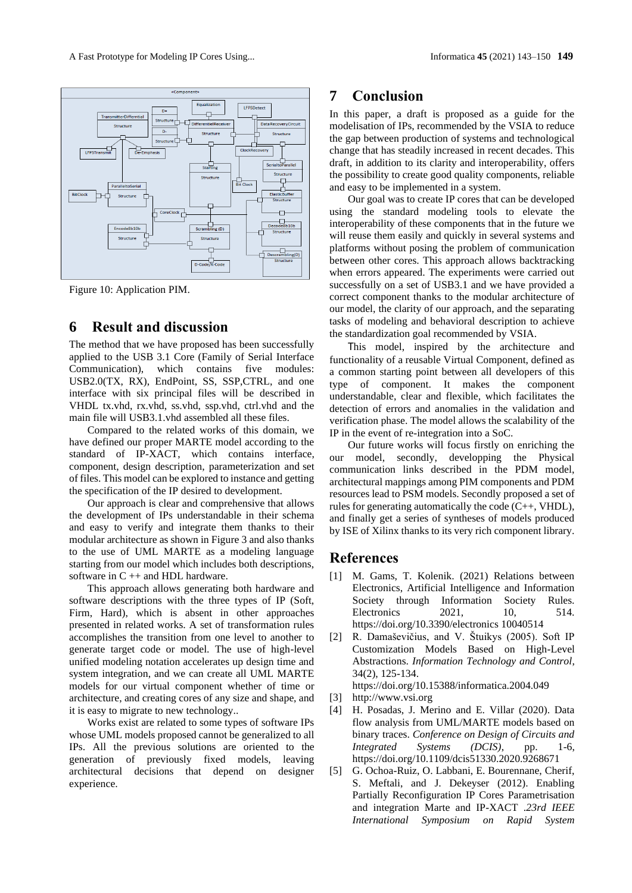

Figure 10: Application PIM.

# **6 Result and discussion**

The method that we have proposed has been successfully applied to the USB 3.1 Core (Family of Serial Interface Communication), which contains five modules: USB2.0(TX, RX), EndPoint, SS, SSP,CTRL, and one interface with six principal files will be described in VHDL tx.vhd, rx.vhd, ss.vhd, ssp.vhd, ctrl.vhd and the main file will USB3.1.vhd assembled all these files.

Compared to the related works of this domain, we have defined our proper MARTE model according to the standard of IP-XACT, which contains interface, component, design description, parameterization and set of files. This model can be explored to instance and getting the specification of the IP desired to development.

Our approach is clear and comprehensive that allows the development of IPs understandable in their schema and easy to verify and integrate them thanks to their modular architecture as shown in Figure 3 and also thanks to the use of UML MARTE as a modeling language starting from our model which includes both descriptions, software in C ++ and HDL hardware.

This approach allows generating both hardware and software descriptions with the three types of IP (Soft, Firm, Hard), which is absent in other approaches presented in related works. A set of transformation rules accomplishes the transition from one level to another to generate target code or model. The use of high-level unified modeling notation accelerates up design time and system integration, and we can create all UML MARTE models for our virtual component whether of time or architecture, and creating cores of any size and shape, and it is easy to migrate to new technology..

Works exist are related to some types of software IPs whose UML models proposed cannot be generalized to all IPs. All the previous solutions are oriented to the generation of previously fixed models, leaving architectural decisions that depend on designer experience.

## **7 Conclusion**

In this paper, a draft is proposed as a guide for the modelisation of IPs, recommended by the VSIA to reduce the gap between production of systems and technological change that has steadily increased in recent decades. This draft, in addition to its clarity and interoperability, offers the possibility to create good quality components, reliable and easy to be implemented in a system.

Our goal was to create IP cores that can be developed using the standard modeling tools to elevate the interoperability of these components that in the future we will reuse them easily and quickly in several systems and platforms without posing the problem of communication between other cores. This approach allows backtracking when errors appeared. The experiments were carried out successfully on a set of USB3.1 and we have provided a correct component thanks to the modular architecture of our model, the clarity of our approach, and the separating tasks of modeling and behavioral description to achieve the standardization goal recommended by VSIA.

This model, inspired by the architecture and functionality of a reusable Virtual Component, defined as a common starting point between all developers of this type of component. It makes the component understandable, clear and flexible, which facilitates the detection of errors and anomalies in the validation and verification phase. The model allows the scalability of the IP in the event of re-integration into a SoC.

Our future works will focus firstly on enriching the our model, secondly, developping the Physical communication links described in the PDM model, architectural mappings among PIM components and PDM resources lead to PSM models. Secondly proposed a set of rules for generating automatically the code  $(C_{++}, VHDL)$ , and finally get a series of syntheses of models produced by ISE of Xilinx thanks to its very rich component library.

### **References**

- [1] M. Gams, T. Kolenik. (2021) Relations between Electronics, Artificial Intelligence and Information Society through Information Society Rules. Electronics 2021, 10, 514. [https://doi.org/10.3390/electronics 10040514](https://doi.org/10.3390/electronics)
- [2] R. Damaševičius, and V. Štuikys (2005). Soft IP Customization Models Based on High-Level Abstractions. *Information Technology and Control*, 34(2), 125-134.

<https://doi.org/10.15388/informatica.2004.049>

- [3] [http://www.vsi.org](http://www.vsi.org/)
- [4] H. Posadas, J. Merino and E. Villar (2020). Data flow analysis from UML/MARTE models based on binary traces. *Conference on Design of Circuits and Integrated Systems (DCIS)*, pp. 1-6, <https://doi.org/10.1109/dcis51330.2020.9268671>
- [5] G. Ochoa-Ruiz, O. Labbani, E. Bourennane, Cherif, S. Meftali, and J. Dekeyser (2012). Enabling Partially Reconfiguration IP Cores Parametrisation and integration Marte and IP-XACT .*23rd IEEE International Symposium on Rapid System*